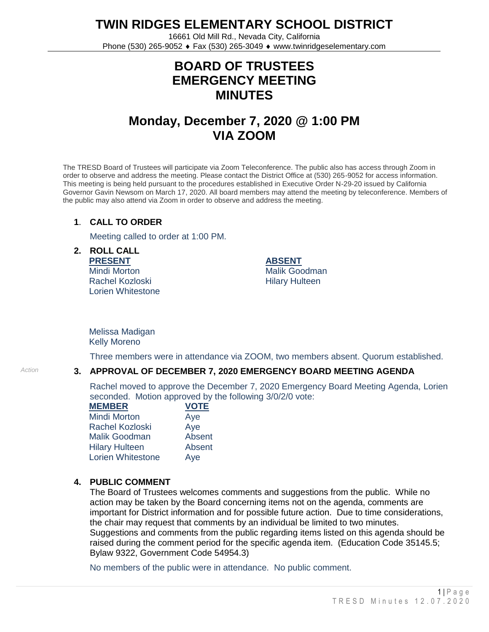**TWIN RIDGES ELEMENTARY SCHOOL DISTRICT**

16661 Old Mill Rd., Nevada City, California Phone (530) 265-9052 ♦ Fax (530) 265-3049 ♦ www.twinridgeselementary.com

# **BOARD OF TRUSTEES EMERGENCY MEETING MINUTES**

# **Monday, December 7, 2020 @ 1:00 PM VIA ZOOM**

The TRESD Board of Trustees will participate via Zoom Teleconference. The public also has access through Zoom in order to observe and address the meeting. Please contact the District Office at (530) 265-9052 for access information. This meeting is being held pursuant to the procedures established in Executive Order N-29-20 issued by California Governor Gavin Newsom on March 17, 2020. All board members may attend the meeting by teleconference. Members of the public may also attend via Zoom in order to observe and address the meeting.

#### **1**. **CALL TO ORDER**

Meeting called to order at 1:00 PM.

**2. ROLL CALL PRESENT** Mindi Morton

Rachel Kozloski Lorien Whitestone **ABSENT** Malik Goodman Hilary Hulteen

Melissa Madigan Kelly Moreno

Three members were in attendance via ZOOM, two members absent. Quorum established.

## *Action* **3. APPROVAL OF DECEMBER 7, 2020 EMERGENCY BOARD MEETING AGENDA**

Rachel moved to approve the December 7, 2020 Emergency Board Meeting Agenda, Lorien seconded. Motion approved by the following 3/0/2/0 vote:

| <b>MEMBER</b>            | <b>VOTE</b> |
|--------------------------|-------------|
| <b>Mindi Morton</b>      | Aye         |
| <b>Rachel Kozloski</b>   | Aye         |
| <b>Malik Goodman</b>     | Absent      |
| <b>Hilary Hulteen</b>    | Absent      |
| <b>Lorien Whitestone</b> | Aye         |

### **4. PUBLIC COMMENT**

The Board of Trustees welcomes comments and suggestions from the public. While no action may be taken by the Board concerning items not on the agenda, comments are important for District information and for possible future action. Due to time considerations, the chair may request that comments by an individual be limited to two minutes. Suggestions and comments from the public regarding items listed on this agenda should be raised during the comment period for the specific agenda item. (Education Code 35145.5; Bylaw 9322, Government Code 54954.3)

No members of the public were in attendance. No public comment.